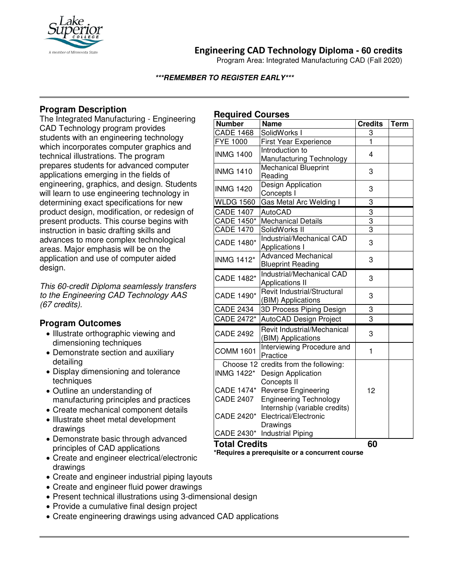

# **Engineering CAD Technology Diploma - 60 credits**

Program Area: Integrated Manufacturing CAD (Fall 2020)

#### **\*\*\*REMEMBER TO REGISTER EARLY\*\*\***

## **Program Description**

The Integrated Manufacturing - Engineering CAD Technology program provides students with an engineering technology which incorporates computer graphics and technical illustrations. The program prepares students for advanced computer applications emerging in the fields of engineering, graphics, and design. Students will learn to use engineering technology in determining exact specifications for new product design, modification, or redesign of present products. This course begins with instruction in basic drafting skills and advances to more complex technological areas. Major emphasis will be on the application and use of computer aided design.

*This 60-credit Diploma seamlessly transfers to the Engineering CAD Technology AAS (67 credits).*

## **Program Outcomes**

- Illustrate orthographic viewing and dimensioning techniques
- Demonstrate section and auxiliary detailing
- Display dimensioning and tolerance techniques
- Outline an understanding of manufacturing principles and practices
- Create mechanical component details
- Illustrate sheet metal development drawings
- Demonstrate basic through advanced principles of CAD applications
- Create and engineer electrical/electronic drawings
- Create and engineer industrial piping layouts
- Create and engineer fluid power drawings
- Present technical illustrations using 3-dimensional design
- Provide a cumulative final design project
- Create engineering drawings using advanced CAD applications

### **Required Courses**

| <b>Number</b>        | <b>Name</b>                                           | <b>Credits</b> | <b>Term</b> |
|----------------------|-------------------------------------------------------|----------------|-------------|
| <b>CADE 1468</b>     | SolidWorks I                                          | 3              |             |
| <b>FYE 1000</b>      | <b>First Year Experience</b>                          | 1              |             |
| <b>INMG 1400</b>     | Introduction to                                       | 4              |             |
|                      | Manufacturing Technology                              |                |             |
| <b>INMG 1410</b>     | <b>Mechanical Blueprint</b>                           | 3              |             |
|                      | Reading                                               |                |             |
| <b>INMG 1420</b>     | Design Application                                    | 3              |             |
|                      | Concepts I                                            |                |             |
| <b>WLDG 1560</b>     | Gas Metal Arc Welding I                               | 3              |             |
| <b>CADE 1407</b>     | <b>AutoCAD</b>                                        | 3              |             |
| CADE 1450*           | <b>Mechanical Details</b>                             | $\overline{3}$ |             |
| <b>CADE 1470</b>     | SolidWorks II                                         | $\overline{3}$ |             |
| CADE 1480*           | Industrial/Mechanical CAD                             | 3              |             |
|                      | Applications I                                        |                |             |
| <b>INMG 1412*</b>    | <b>Advanced Mechanical</b>                            | 3              |             |
|                      | <b>Blueprint Reading</b>                              |                |             |
| CADE 1482*           | Industrial/Mechanical CAD                             | 3              |             |
|                      | <b>Applications II</b><br>Revit Industrial/Structural |                |             |
| CADE 1490*           | (BIM) Applications                                    | 3              |             |
| <b>CADE 2434</b>     | 3D Process Piping Design                              | 3              |             |
| CADE 2472*           | AutoCAD Design Project                                | 3              |             |
|                      |                                                       |                |             |
| <b>CADE 2492</b>     | Revit Industrial/Mechanical                           | 3              |             |
|                      | (BIM) Applications                                    |                |             |
| <b>COMM 1601</b>     | Interviewing Procedure and<br>Practice                | 1              |             |
|                      | Choose 12 credits from the following:                 |                |             |
| <b>INMG 1422*</b>    | Design Application                                    |                |             |
|                      | Concepts II                                           |                |             |
|                      | CADE 1474* Reverse Engineering                        | 12             |             |
| <b>CADE 2407</b>     | <b>Engineering Technology</b>                         |                |             |
|                      | Internship (variable credits)                         |                |             |
|                      | CADE 2420* Electrical/Electronic                      |                |             |
|                      | Drawings                                              |                |             |
|                      | CADE 2430* Industrial Piping                          |                |             |
| <b>Total Credits</b> |                                                       | 60             |             |

**\*Requires a prerequisite or a concurrent course**